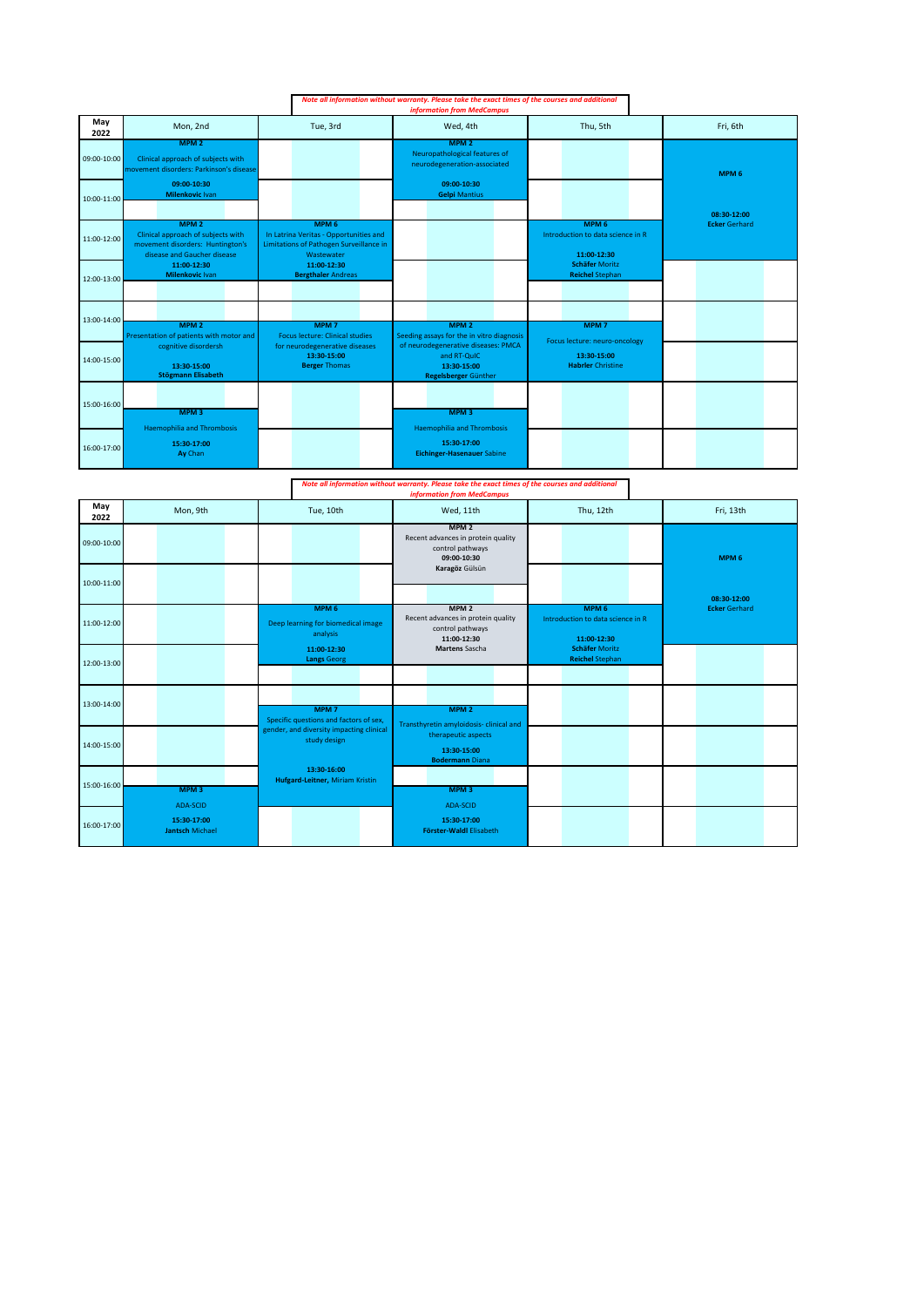|             |                                                                                                                           | Note all information without warranty. Please take the exact times of the courses and additional         |                                                                                           |                                                                      |                      |  |
|-------------|---------------------------------------------------------------------------------------------------------------------------|----------------------------------------------------------------------------------------------------------|-------------------------------------------------------------------------------------------|----------------------------------------------------------------------|----------------------|--|
| May<br>2022 | Mon, 2nd                                                                                                                  | Tue, 3rd                                                                                                 | Wed, 4th                                                                                  | Thu, 5th                                                             | Fri, 6th             |  |
| 09:00-10:00 | MPM <sub>2</sub><br>Clinical approach of subjects with<br>movement disorders: Parkinson's disease                         |                                                                                                          | MPM <sub>2</sub><br>Neuropathological features of<br>neurodegeneration-associated         |                                                                      | MPM <sub>6</sub>     |  |
| 10:00-11:00 | 09:00-10:30<br>Milenkovic Ivan                                                                                            |                                                                                                          | 09:00-10:30<br><b>Gelpi Mantius</b>                                                       |                                                                      | 08:30-12:00          |  |
| 11:00-12:00 | MPM <sub>2</sub><br>Clinical approach of subjects with<br>movement disorders: Huntington's<br>disease and Gaucher disease | MPM 6<br>In Latrina Veritas - Opportunities and<br>Limitations of Pathogen Surveillance in<br>Wastewater |                                                                                           | MPM <sub>6</sub><br>Introduction to data science in R<br>11:00-12:30 | <b>Ecker Gerhard</b> |  |
| 12:00-13:00 | 11:00-12:30<br>Milenkovic Ivan                                                                                            | 11:00-12:30<br><b>Bergthaler Andreas</b>                                                                 |                                                                                           | <b>Schäfer Moritz</b><br><b>Reichel Stephan</b>                      |                      |  |
| 13:00-14:00 | MPM <sub>2</sub><br>Presentation of patients with motor and                                                               | MPM <sub>7</sub><br><b>Focus lecture: Clinical studies</b>                                               | MPM <sub>2</sub><br>Seeding assays for the in vitro diagnosis                             | MPM <sub>7</sub><br>Focus lecture: neuro-oncology                    |                      |  |
| 14:00-15:00 | cognitive disordersh<br>13:30-15:00<br><b>Stögmann Elisabeth</b>                                                          | for neurodegenerative diseases<br>13:30-15:00<br><b>Berger Thomas</b>                                    | of neurodegenerative diseases: PMCA<br>and RT-QuIC<br>13:30-15:00<br>Regelsberger Günther | 13:30-15:00<br><b>Habrier Christine</b>                              |                      |  |
| 15:00-16:00 | MPM <sub>3</sub>                                                                                                          |                                                                                                          | MPM <sub>3</sub>                                                                          |                                                                      |                      |  |
| 16:00-17:00 | <b>Haemophilia and Thrombosis</b><br>15:30-17:00<br>Ay Chan                                                               |                                                                                                          | <b>Haemophilia and Thrombosis</b><br>15:30-17:00<br><b>Eichinger-Hasenauer Sabine</b>     |                                                                      |                      |  |

| Note all information without warranty. Please take the exact times of the courses and additional |  |  |  |  |  |  |  |  |
|--------------------------------------------------------------------------------------------------|--|--|--|--|--|--|--|--|
| <b>information from MedCampus</b>                                                                |  |  |  |  |  |  |  |  |
|                                                                                                  |  |  |  |  |  |  |  |  |

| May<br>2022 | Mon, 9th                              | Tue, 10th                                                          | Wed, 11th                                                                                 | Thu, 12th                                                            | Fri, 13th            |
|-------------|---------------------------------------|--------------------------------------------------------------------|-------------------------------------------------------------------------------------------|----------------------------------------------------------------------|----------------------|
| 09:00-10:00 |                                       |                                                                    | MPM <sub>2</sub><br>Recent advances in protein quality<br>control pathways<br>09:00-10:30 |                                                                      | MPM <sub>6</sub>     |
| 10:00-11:00 |                                       |                                                                    | Karagöz Gülsün                                                                            |                                                                      | 08:30-12:00          |
| 11:00-12:00 |                                       | MPM <sub>6</sub><br>Deep learning for biomedical image<br>analysis | MPM <sub>2</sub><br>Recent advances in protein quality<br>control pathways<br>11:00-12:30 | MPM <sub>6</sub><br>Introduction to data science in R<br>11:00-12:30 | <b>Ecker Gerhard</b> |
| 12:00-13:00 |                                       | 11:00-12:30<br><b>Langs Georg</b>                                  | <b>Martens Sascha</b>                                                                     | <b>Schäfer Moritz</b><br><b>Reichel Stephan</b>                      |                      |
| 13:00-14:00 |                                       | MPM <sub>7</sub><br>Specific questions and factors of sex,         | MPM <sub>2</sub><br>Transthyretin amyloidosis-clinical and                                |                                                                      |                      |
| 14:00-15:00 |                                       | gender, and diversity impacting clinical<br>study design           | therapeutic aspects<br>13:30-15:00<br><b>Bodermann Diana</b>                              |                                                                      |                      |
| 15:00-16:00 | MPM <sub>3</sub><br>ADA-SCID          | 13:30-16:00<br><b>Hufgard-Leitner, Miriam Kristin</b>              | MPM <sub>3</sub><br>ADA-SCID                                                              |                                                                      |                      |
| 16:00-17:00 | 15:30-17:00<br><b>Jantsch Michael</b> |                                                                    | 15:30-17:00<br>Förster-Waldl Elisabeth                                                    |                                                                      |                      |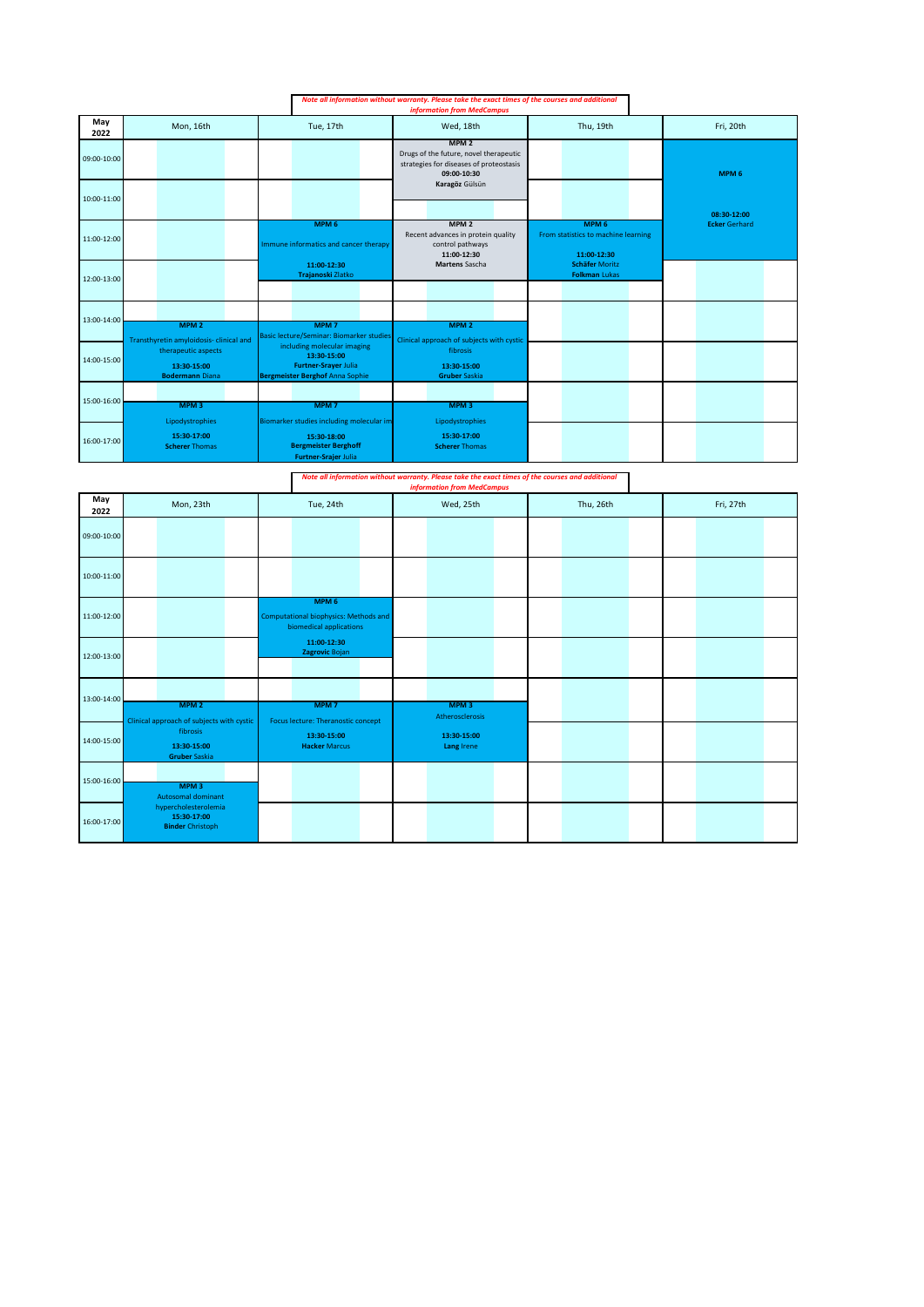|             |                                                                                                        |                                                                                                                     | Note all information without warranty. Please take the exact times of the courses and additional<br>information from MedCampus |                                                                        |                      |  |  |  |
|-------------|--------------------------------------------------------------------------------------------------------|---------------------------------------------------------------------------------------------------------------------|--------------------------------------------------------------------------------------------------------------------------------|------------------------------------------------------------------------|----------------------|--|--|--|
| May<br>2022 | Mon, 16th                                                                                              | Tue, 17th                                                                                                           | Wed, 18th                                                                                                                      | Thu, 19th                                                              | Fri, 20th            |  |  |  |
| 09:00-10:00 |                                                                                                        |                                                                                                                     | MPM <sub>2</sub><br>Drugs of the future, novel therapeutic<br>strategies for diseases of proteostasis<br>09:00-10:30           |                                                                        | MPM <sub>6</sub>     |  |  |  |
| 10:00-11:00 |                                                                                                        |                                                                                                                     | Karagöz Gülsün                                                                                                                 |                                                                        | 08:30-12:00          |  |  |  |
| 11:00-12:00 |                                                                                                        | MPM <sub>6</sub><br>Immune informatics and cancer therapy                                                           | MPM <sub>2</sub><br>Recent advances in protein quality<br>control pathways<br>11:00-12:30                                      | MPM <sub>6</sub><br>From statistics to machine learning<br>11:00-12:30 | <b>Ecker Gerhard</b> |  |  |  |
| 12:00-13:00 |                                                                                                        | 11:00-12:30<br>Trajanoski Zlatko                                                                                    | <b>Martens Sascha</b>                                                                                                          | <b>Schäfer Moritz</b><br><b>Folkman Lukas</b>                          |                      |  |  |  |
| 13:00-14:00 | MPM <sub>2</sub>                                                                                       | MPM <sub>7</sub><br>Basic lecture/Seminar: Biomarker studies                                                        | MPM <sub>2</sub>                                                                                                               |                                                                        |                      |  |  |  |
| 14:00-15:00 | Transthyretin amyloidosis-clinical and<br>therapeutic aspects<br>13:30-15:00<br><b>Bodermann Diana</b> | including molecular imaging<br>13:30-15:00<br><b>Furtner-Srayer Julia</b><br><b>Bergmeister Berghof Anna Sophie</b> | Clinical approach of subjects with cystic<br>fibrosis<br>13:30-15:00<br><b>Gruber Saskia</b>                                   |                                                                        |                      |  |  |  |
| 15:00-16:00 | MPM <sub>3</sub>                                                                                       | MPM <sub>7</sub>                                                                                                    | MPM <sub>3</sub>                                                                                                               |                                                                        |                      |  |  |  |
| 16:00-17:00 | Lipodystrophies<br>15:30-17:00<br><b>Scherer Thomas</b>                                                | Biomarker studies including molecular im<br>15:30-18:00<br><b>Bergmeister Berghoff</b><br>Furtner-Srajer Julia      | Lipodystrophies<br>15:30-17:00<br><b>Scherer Thomas</b>                                                                        |                                                                        |                      |  |  |  |

*Note all information without warranty. Please take the exact times of the courses and additional information from MedCampus*

| May<br>2022 | Mon, 23th                                                      | Tue, 24th                                                                            | Wed, 25th                           | Thu, 26th | Fri, 27th |
|-------------|----------------------------------------------------------------|--------------------------------------------------------------------------------------|-------------------------------------|-----------|-----------|
| 09:00-10:00 |                                                                |                                                                                      |                                     |           |           |
| 10:00-11:00 |                                                                |                                                                                      |                                     |           |           |
| 11:00-12:00 |                                                                | MPM <sub>6</sub><br>Computational biophysics: Methods and<br>biomedical applications |                                     |           |           |
| 12:00-13:00 |                                                                | 11:00-12:30<br>Zagrovic Bojan                                                        |                                     |           |           |
| 13:00-14:00 | MPM <sub>2</sub><br>Clinical approach of subjects with cystic  | MPM <sub>7</sub><br>Focus lecture: Theranostic concept                               | MPM <sub>3</sub><br>Atherosclerosis |           |           |
| 14:00-15:00 | fibrosis<br>13:30-15:00<br><b>Gruber Saskia</b>                | 13:30-15:00<br><b>Hacker Marcus</b>                                                  | 13:30-15:00<br>Lang Irene           |           |           |
| 15:00-16:00 | MPM <sub>3</sub><br>Autosomal dominant                         |                                                                                      |                                     |           |           |
| 16:00-17:00 | hypercholesterolemia<br>15:30-17:00<br><b>Binder Christoph</b> |                                                                                      |                                     |           |           |